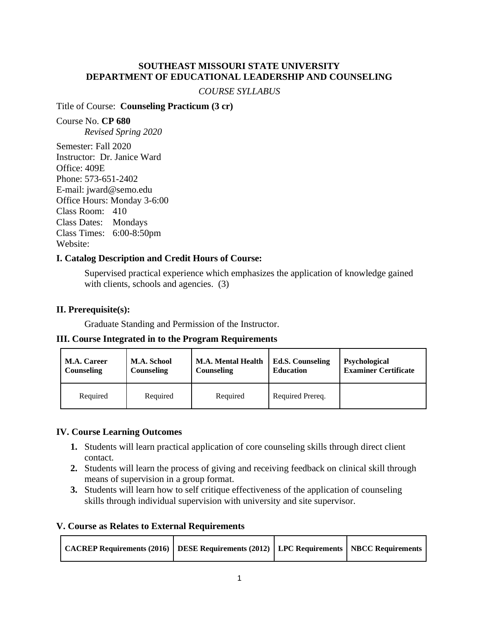### **SOUTHEAST MISSOURI STATE UNIVERSITY DEPARTMENT OF EDUCATIONAL LEADERSHIP AND COUNSELING**

#### *COURSE SYLLABUS*

### Title of Course: **Counseling Practicum (3 cr)**

Course No. **CP 680** *Revised Spring 2020*

Semester: Fall 2020 Instructor: Dr. Janice Ward Office: 409E Phone: 573-651-2402 E-mail: jward@semo.edu Office Hours: Monday 3-6:00 Class Room: 410 Class Dates: Mondays Class Times: 6:00-8:50pm Website:

## **I. Catalog Description and Credit Hours of Course:**

Supervised practical experience which emphasizes the application of knowledge gained with clients, schools and agencies. (3)

## **II. Prerequisite(s):**

Graduate Standing and Permission of the Instructor.

#### **III. Course Integrated in to the Program Requirements**

| <b>M.A. Career</b> | <b>M.A. School</b> | <b>M.A. Mental Health</b> | <b>Ed.S. Counseling</b> | <b>Psychological</b>        |
|--------------------|--------------------|---------------------------|-------------------------|-----------------------------|
| <b>Counseling</b>  | Counseling         | Counseling                | <b>Education</b>        | <b>Examiner Certificate</b> |
| Required           | Required           | Required                  | Required Prereq.        |                             |

#### **IV. Course Learning Outcomes**

- **1.** Students will learn practical application of core counseling skills through direct client contact.
- **2.** Students will learn the process of giving and receiving feedback on clinical skill through means of supervision in a group format.
- **3.** Students will learn how to self critique effectiveness of the application of counseling skills through individual supervision with university and site supervisor.

#### **V. Course as Relates to External Requirements**

| CACREP Requirements (2016)   DESE Requirements (2012)   LPC Requirements   NBCC Requirements |  |  |  |
|----------------------------------------------------------------------------------------------|--|--|--|
|----------------------------------------------------------------------------------------------|--|--|--|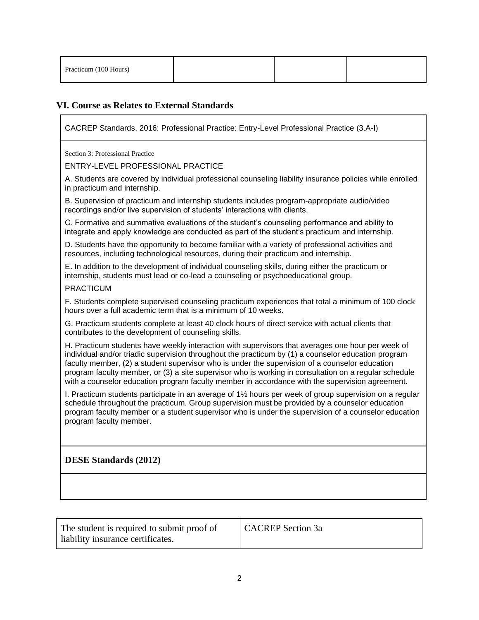| Practicum (100 Hours) |  |  |  |
|-----------------------|--|--|--|
|-----------------------|--|--|--|

## **VI. Course as Relates to External Standards**

CACREP Standards, 2016: Professional Practice: Entry-Level Professional Practice (3.A-I)

Section 3: Professional Practice

ENTRY-LEVEL PROFESSIONAL PRACTICE

A. Students are covered by individual professional counseling liability insurance policies while enrolled in practicum and internship.

B. Supervision of practicum and internship students includes program-appropriate audio/video recordings and/or live supervision of students' interactions with clients.

C. Formative and summative evaluations of the student's counseling performance and ability to integrate and apply knowledge are conducted as part of the student's practicum and internship.

D. Students have the opportunity to become familiar with a variety of professional activities and resources, including technological resources, during their practicum and internship.

E. In addition to the development of individual counseling skills, during either the practicum or internship, students must lead or co-lead a counseling or psychoeducational group.

#### PRACTICUM

F. Students complete supervised counseling practicum experiences that total a minimum of 100 clock hours over a full academic term that is a minimum of 10 weeks.

G. Practicum students complete at least 40 clock hours of direct service with actual clients that contributes to the development of counseling skills.

H. Practicum students have weekly interaction with supervisors that averages one hour per week of individual and/or triadic supervision throughout the practicum by (1) a counselor education program faculty member, (2) a student supervisor who is under the supervision of a counselor education program faculty member, or (3) a site supervisor who is working in consultation on a regular schedule with a counselor education program faculty member in accordance with the supervision agreement.

I. Practicum students participate in an average of 1½ hours per week of group supervision on a regular schedule throughout the practicum. Group supervision must be provided by a counselor education program faculty member or a student supervisor who is under the supervision of a counselor education program faculty member.

**DESE Standards (2012)**

| The student is required to submit proof of<br>liability insurance certificates. | <b>CACREP</b> Section 3a |
|---------------------------------------------------------------------------------|--------------------------|
|---------------------------------------------------------------------------------|--------------------------|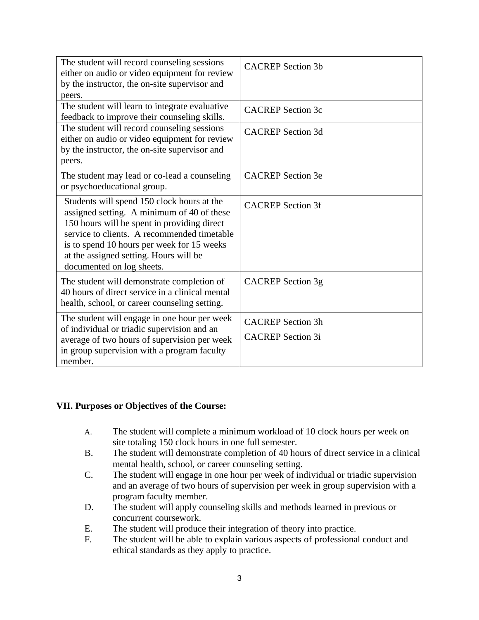| The student will record counseling sessions<br>either on audio or video equipment for review<br>by the instructor, the on-site supervisor and<br>peers.                                                                                                                                                     | <b>CACREP</b> Section 3b                             |
|-------------------------------------------------------------------------------------------------------------------------------------------------------------------------------------------------------------------------------------------------------------------------------------------------------------|------------------------------------------------------|
| The student will learn to integrate evaluative<br>feedback to improve their counseling skills.                                                                                                                                                                                                              | <b>CACREP</b> Section 3c                             |
| The student will record counseling sessions<br>either on audio or video equipment for review<br>by the instructor, the on-site supervisor and<br>peers.                                                                                                                                                     | <b>CACREP</b> Section 3d                             |
| The student may lead or co-lead a counseling<br>or psychoeducational group.                                                                                                                                                                                                                                 | <b>CACREP</b> Section 3e                             |
| Students will spend 150 clock hours at the<br>assigned setting. A minimum of 40 of these<br>150 hours will be spent in providing direct<br>service to clients. A recommended timetable<br>is to spend 10 hours per week for 15 weeks<br>at the assigned setting. Hours will be<br>documented on log sheets. | <b>CACREP</b> Section 3f                             |
| The student will demonstrate completion of<br>40 hours of direct service in a clinical mental<br>health, school, or career counseling setting.                                                                                                                                                              | CACREP Section 3g                                    |
| The student will engage in one hour per week<br>of individual or triadic supervision and an<br>average of two hours of supervision per week<br>in group supervision with a program faculty<br>member.                                                                                                       | <b>CACREP</b> Section 3h<br><b>CACREP</b> Section 3i |

#### **VII. Purposes or Objectives of the Course:**

- A. The student will complete a minimum workload of 10 clock hours per week on site totaling 150 clock hours in one full semester.
- B. The student will demonstrate completion of 40 hours of direct service in a clinical mental health, school, or career counseling setting.
- C. The student will engage in one hour per week of individual or triadic supervision and an average of two hours of supervision per week in group supervision with a program faculty member.
- D. The student will apply counseling skills and methods learned in previous or concurrent coursework.
- E. The student will produce their integration of theory into practice.
- F. The student will be able to explain various aspects of professional conduct and ethical standards as they apply to practice.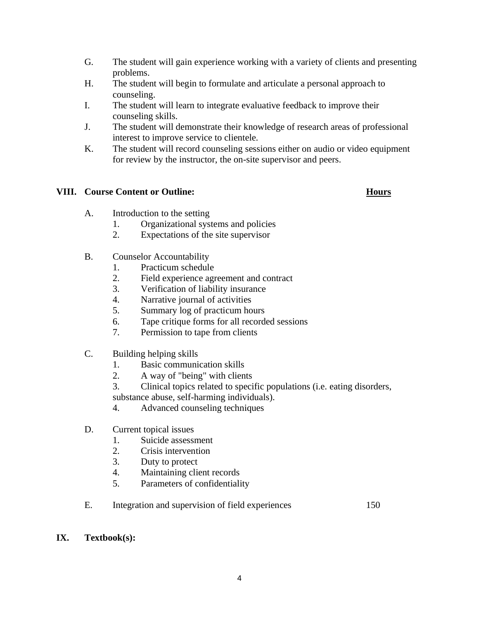- G. The student will gain experience working with a variety of clients and presenting problems.
- H. The student will begin to formulate and articulate a personal approach to counseling.
- I. The student will learn to integrate evaluative feedback to improve their counseling skills.
- J. The student will demonstrate their knowledge of research areas of professional interest to improve service to clientele.
- K. The student will record counseling sessions either on audio or video equipment for review by the instructor, the on-site supervisor and peers.

## **VIII. Course Content or Outline: Hours**

- A. Introduction to the setting
	- 1. Organizational systems and policies
	- 2. Expectations of the site supervisor
- B. Counselor Accountability
	- 1. Practicum schedule
	- 2. Field experience agreement and contract
	- 3. Verification of liability insurance
	- 4. Narrative journal of activities
	- 5. Summary log of practicum hours
	- 6. Tape critique forms for all recorded sessions
	- 7. Permission to tape from clients
- C. Building helping skills
	- 1. Basic communication skills
	- 2. A way of "being" with clients
	- 3. Clinical topics related to specific populations (i.e. eating disorders,
	- substance abuse, self-harming individuals).
	- 4. Advanced counseling techniques
- D. Current topical issues
	- 1. Suicide assessment
	- 2. Crisis intervention
	- 3. Duty to protect
	- 4. Maintaining client records
	- 5. Parameters of confidentiality
- E. Integration and supervision of field experiences 150

#### **IX. Textbook(s):**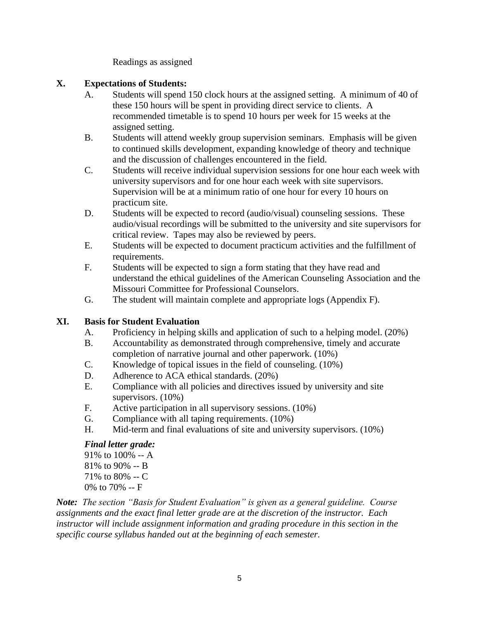Readings as assigned

## **X. Expectations of Students:**

- A. Students will spend 150 clock hours at the assigned setting. A minimum of 40 of these 150 hours will be spent in providing direct service to clients. A recommended timetable is to spend 10 hours per week for 15 weeks at the assigned setting.
- B. Students will attend weekly group supervision seminars. Emphasis will be given to continued skills development, expanding knowledge of theory and technique and the discussion of challenges encountered in the field.
- C. Students will receive individual supervision sessions for one hour each week with university supervisors and for one hour each week with site supervisors. Supervision will be at a minimum ratio of one hour for every 10 hours on practicum site.
- D. Students will be expected to record (audio/visual) counseling sessions. These audio/visual recordings will be submitted to the university and site supervisors for critical review. Tapes may also be reviewed by peers.
- E. Students will be expected to document practicum activities and the fulfillment of requirements.
- F. Students will be expected to sign a form stating that they have read and understand the ethical guidelines of the American Counseling Association and the Missouri Committee for Professional Counselors.
- G. The student will maintain complete and appropriate logs (Appendix F).

# **XI. Basis for Student Evaluation**

- A. Proficiency in helping skills and application of such to a helping model. (20%)
- B. Accountability as demonstrated through comprehensive, timely and accurate completion of narrative journal and other paperwork. (10%)
- C. Knowledge of topical issues in the field of counseling. (10%)
- D. Adherence to ACA ethical standards. (20%)
- E. Compliance with all policies and directives issued by university and site supervisors. (10%)
- F. Active participation in all supervisory sessions. (10%)
- G. Compliance with all taping requirements. (10%)
- H. Mid-term and final evaluations of site and university supervisors. (10%)

## *Final letter grade:*

91% to 100% -- A 81% to 90% -- B 71% to 80% -- C 0% to 70% -- F

*Note: The section "Basis for Student Evaluation" is given as a general guideline. Course assignments and the exact final letter grade are at the discretion of the instructor. Each instructor will include assignment information and grading procedure in this section in the specific course syllabus handed out at the beginning of each semester.*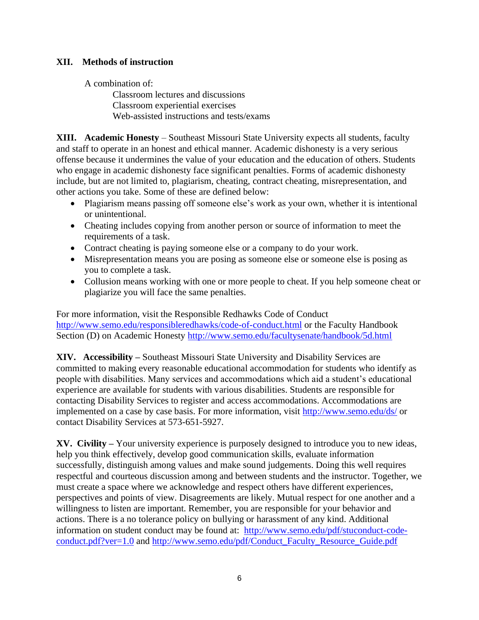## **XII. Methods of instruction**

A combination of:

Classroom lectures and discussions Classroom experiential exercises Web-assisted instructions and tests/exams

**XIII. Academic Honesty** – Southeast Missouri State University expects all students, faculty and staff to operate in an honest and ethical manner. Academic dishonesty is a very serious offense because it undermines the value of your education and the education of others. Students who engage in academic dishonesty face significant penalties. Forms of academic dishonesty include, but are not limited to, plagiarism, cheating, contract cheating, misrepresentation, and other actions you take. Some of these are defined below:

- Plagiarism means passing off someone else's work as your own, whether it is intentional or unintentional.
- Cheating includes copying from another person or source of information to meet the requirements of a task.
- Contract cheating is paying someone else or a company to do your work.
- Misrepresentation means you are posing as someone else or someone else is posing as you to complete a task.
- Collusion means working with one or more people to cheat. If you help someone cheat or plagiarize you will face the same penalties.

For more information, visit the Responsible Redhawks Code of Conduct <http://www.semo.edu/responsibleredhawks/code-of-conduct.html> or the Faculty Handbook Section (D) on Academic Honesty<http://www.semo.edu/facultysenate/handbook/5d.html>

**XIV. Accessibility –** Southeast Missouri State University and Disability Services are committed to making every reasonable educational accommodation for students who identify as people with disabilities. Many services and accommodations which aid a student's educational experience are available for students with various disabilities. Students are responsible for contacting Disability Services to register and access accommodations. Accommodations are implemented on a case by case basis. For more information, visit <http://www.semo.edu/ds/> or contact Disability Services at 573-651-5927.

**XV. Civility –** Your university experience is purposely designed to introduce you to new ideas, help you think effectively, develop good communication skills, evaluate information successfully, distinguish among values and make sound judgements. Doing this well requires respectful and courteous discussion among and between students and the instructor. Together, we must create a space where we acknowledge and respect others have different experiences, perspectives and points of view. Disagreements are likely. Mutual respect for one another and a willingness to listen are important. Remember, you are responsible for your behavior and actions. There is a no tolerance policy on bullying or harassment of any kind. Additional information on student conduct may be found at: [http://www.semo.edu/pdf/stuconduct-code](http://www.semo.edu/pdf/stuconduct-code-conduct.pdf?ver=1.0)[conduct.pdf?ver=1.0](http://www.semo.edu/pdf/stuconduct-code-conduct.pdf?ver=1.0) and [http://www.semo.edu/pdf/Conduct\\_Faculty\\_Resource\\_Guide.pdf](http://www.semo.edu/pdf/Conduct_Faculty_Resource_Guide.pdf)